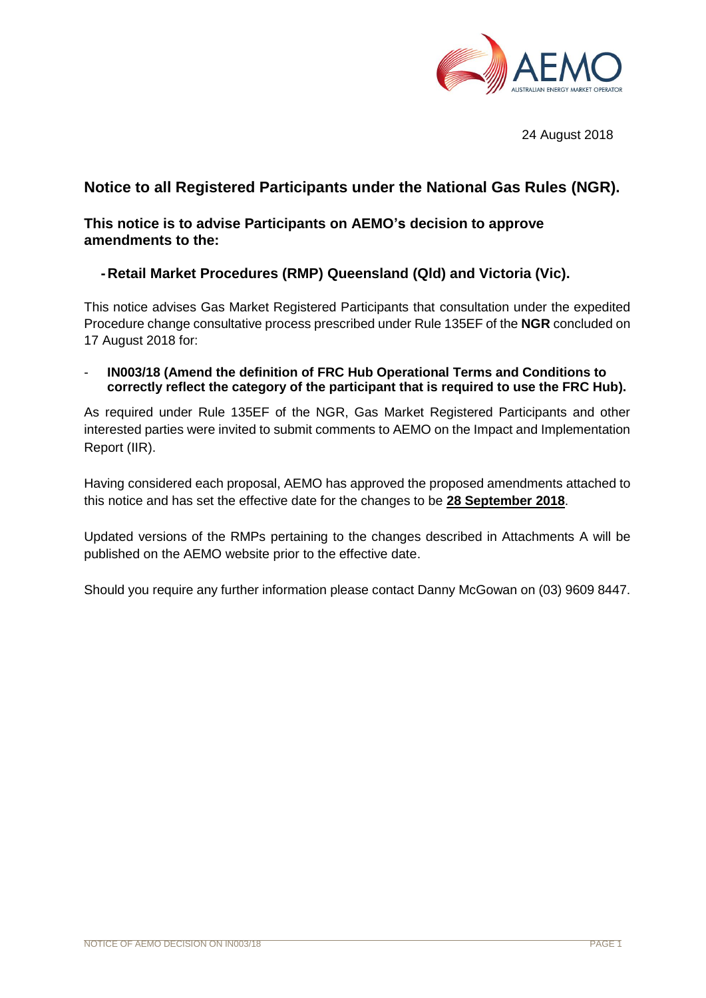

24 August 2018

# **Notice to all Registered Participants under the National Gas Rules (NGR).**

### **This notice is to advise Participants on AEMO's decision to approve amendments to the:**

## **-Retail Market Procedures (RMP) Queensland (Qld) and Victoria (Vic).**

This notice advises Gas Market Registered Participants that consultation under the expedited Procedure change consultative process prescribed under Rule 135EF of the **NGR** concluded on 17 August 2018 for:

- **IN003/18 (Amend the definition of FRC Hub Operational Terms and Conditions to correctly reflect the category of the participant that is required to use the FRC Hub).**

As required under Rule 135EF of the NGR, Gas Market Registered Participants and other interested parties were invited to submit comments to AEMO on the Impact and Implementation Report (IIR).

Having considered each proposal, AEMO has approved the proposed amendments attached to this notice and has set the effective date for the changes to be **28 September 2018**.

Updated versions of the RMPs pertaining to the changes described in Attachments A will be published on the AEMO website prior to the effective date.

Should you require any further information please contact Danny McGowan on (03) 9609 8447.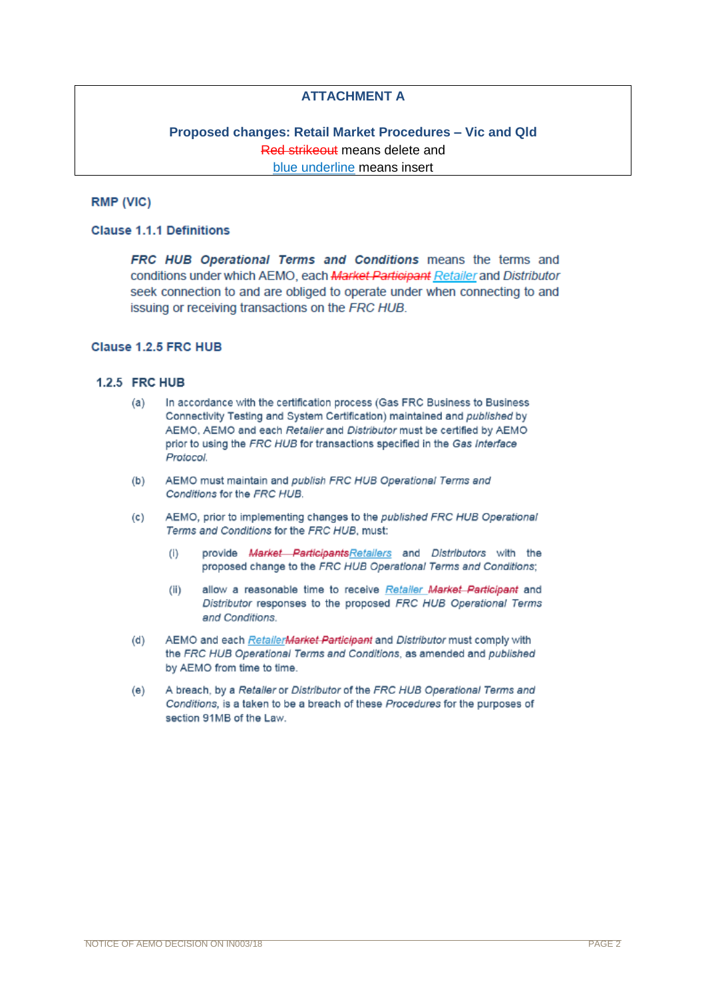### **ATTACHMENT A**

### **Proposed changes: Retail Market Procedures – Vic and Qld** Red strikeout means delete and blue underline means insert

### **RMP (VIC)**

#### **Clause 1.1.1 Definitions**

**FRC HUB Operational Terms and Conditions means the terms and** conditions under which AEMO, each Market Participant Retailer and Distributor seek connection to and are obliged to operate under when connecting to and issuing or receiving transactions on the FRC HUB.

#### Clause 1.2.5 FRC HUB

#### 1.2.5 FRC HUB

- $(a)$ In accordance with the certification process (Gas FRC Business to Business Connectivity Testing and System Certification) maintained and published by AEMO, AEMO and each Retailer and Distributor must be certified by AEMO prior to using the FRC HUB for transactions specified in the Gas Interface Protocol.
- AEMO must maintain and publish FRC HUB Operational Terms and  $(b)$ Conditions for the FRC HUB.
- AEMO, prior to implementing changes to the published FRC HUB Operational  $(c)$ Terms and Conditions for the FRC HUB, must:
	- $(i)$ provide Market Participants Retailers and Distributors with the proposed change to the FRC HUB Operational Terms and Conditions:
	- $(ii)$ allow a reasonable time to receive Retailer Market Participant and Distributor responses to the proposed FRC HUB Operational Terms and Conditions.
- $(d)$ AEMO and each RetailerMarket Participant and Distributor must comply with the FRC HUB Operational Terms and Conditions, as amended and published by AEMO from time to time.
- A breach, by a Retailer or Distributor of the FRC HUB Operational Terms and  $(e)$ Conditions, is a taken to be a breach of these Procedures for the purposes of section 91MB of the Law.